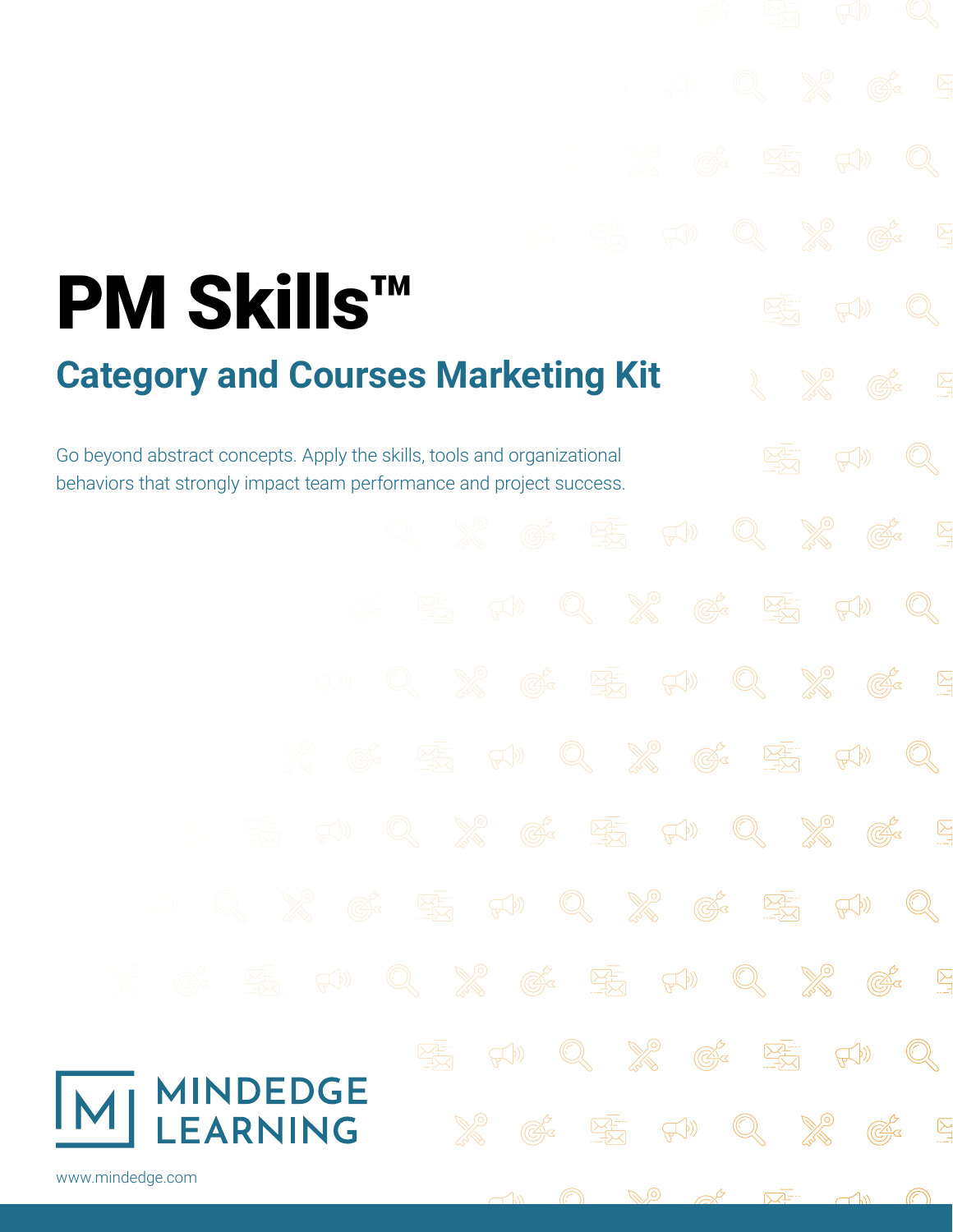# PM Skills™ **Category and Courses Marketing Kit**

Go beyond abstract concepts. Apply the skills, tools and organizational behaviors that strongly impact team performance and project success.

 $\mathbb{C}^3$ **Company**  $\frac{1}{\sqrt{2}}$  $\mathbb{Q}$  $\mathbb{C}^2$ <u> 전</u>  $\mathbb{R}^{(n)}$  $\mathbb{C}^3$ **Control**  $\sum_{i=1}^{n}$ **ARCHITE**  $\mathbb{Q}$  $\mathbb{C}^3$  $\mathbb{R}^{(n)}$  $\begin{picture}(40,40) \put(0,0){\line(1,0){15}} \put(15,0){\line(1,0){15}} \put(15,0){\line(1,0){15}} \put(15,0){\line(1,0){15}} \put(15,0){\line(1,0){15}} \put(15,0){\line(1,0){15}} \put(15,0){\line(1,0){15}} \put(15,0){\line(1,0){15}} \put(15,0){\line(1,0){15}} \put(15,0){\line(1,0){15}} \put(15,0){\line(1,0){15}} \put(15,0){\line(1$  $\mathbb{C}^2$  $\mathbb{R}^{(n)}$  $\begin{picture}(20,20) \put(0,0){\line(1,0){10}} \put(15,0){\line(1,0){10}} \put(15,0){\line(1,0){10}} \put(15,0){\line(1,0){10}} \put(15,0){\line(1,0){10}} \put(15,0){\line(1,0){10}} \put(15,0){\line(1,0){10}} \put(15,0){\line(1,0){10}} \put(15,0){\line(1,0){10}} \put(15,0){\line(1,0){10}} \put(15,0){\line(1,0){10}} \put(15,0){\line(1$ **ARIAN**  $\mathbb{C}^3$  $\sum_{i=1}^{n}$ **Company**  $\mathbb{C}^2$  $\mathbb{R}^{(n)}$ <u> 전</u>  $\mathbb{Q}$  $\overline{\mathbb{C}}$ **Contract Contract**  $\mathbb{C}^3$  $\mathbb{R}^{(n)}$  $\frac{\sqrt{1-\cdots}}{\sqrt{1-\cdots}}$  $\mathbb{Q}$  $\boxed{\sum}$  $\begin{picture}(20,20) \put(0,0){\line(1,0){10}} \put(15,0){\line(1,0){10}} \put(15,0){\line(1,0){10}} \put(15,0){\line(1,0){10}} \put(15,0){\line(1,0){10}} \put(15,0){\line(1,0){10}} \put(15,0){\line(1,0){10}} \put(15,0){\line(1,0){10}} \put(15,0){\line(1,0){10}} \put(15,0){\line(1,0){10}} \put(15,0){\line(1,0){10}} \put(15,0){\line(1$  $\overline{\mathbb{C}}$ **Company**  $\mathbb{R}^{(n)}$  $\begin{picture}(20,5) \put(0,0) {\put(0,0){\line(1,0){15}} \put(0,0){\line(1,0){15}} \put(1,0){\line(1,0){15}} \put(1,0){\line(1,0){15}} \put(1,0){\line(1,0){15}} \put(1,0){\line(1,0){15}} \put(1,0){\line(1,0){15}} \put(1,0){\line(1,0){15}} \put(1,0){\line(1,0){15}} \put(1,0){\line(1,0){15}} \put(1,0){\line(1,0){15}} \put(1,0){\line(1,0){15$  $\mathbb{R}^{(n)}$  $\mathbb{Q}$ **ADEDGE<br>ARNING**  $\overline{\mathbb{C}}$  $\mathbb{R}^{(n)}$  $\sum_{i=1}^{n}$  $\bigcirc$ G, [www.mindedge.com](http://www.mindedge.com)

> $\mathscr{D}$ <u> Q</u>

 $\rightarrow$ 

 $\overline{\nabla^2}$ 

 $\mathbb{C}^3$ 

 $\mathbb{C}^2$ 

 $\mathbb{R}^{(n)}$ 

 $\sum_{i=1}^{n}$ 

 $\begin{array}{c} \mathbb{Q} \end{array}$ 

**Contract**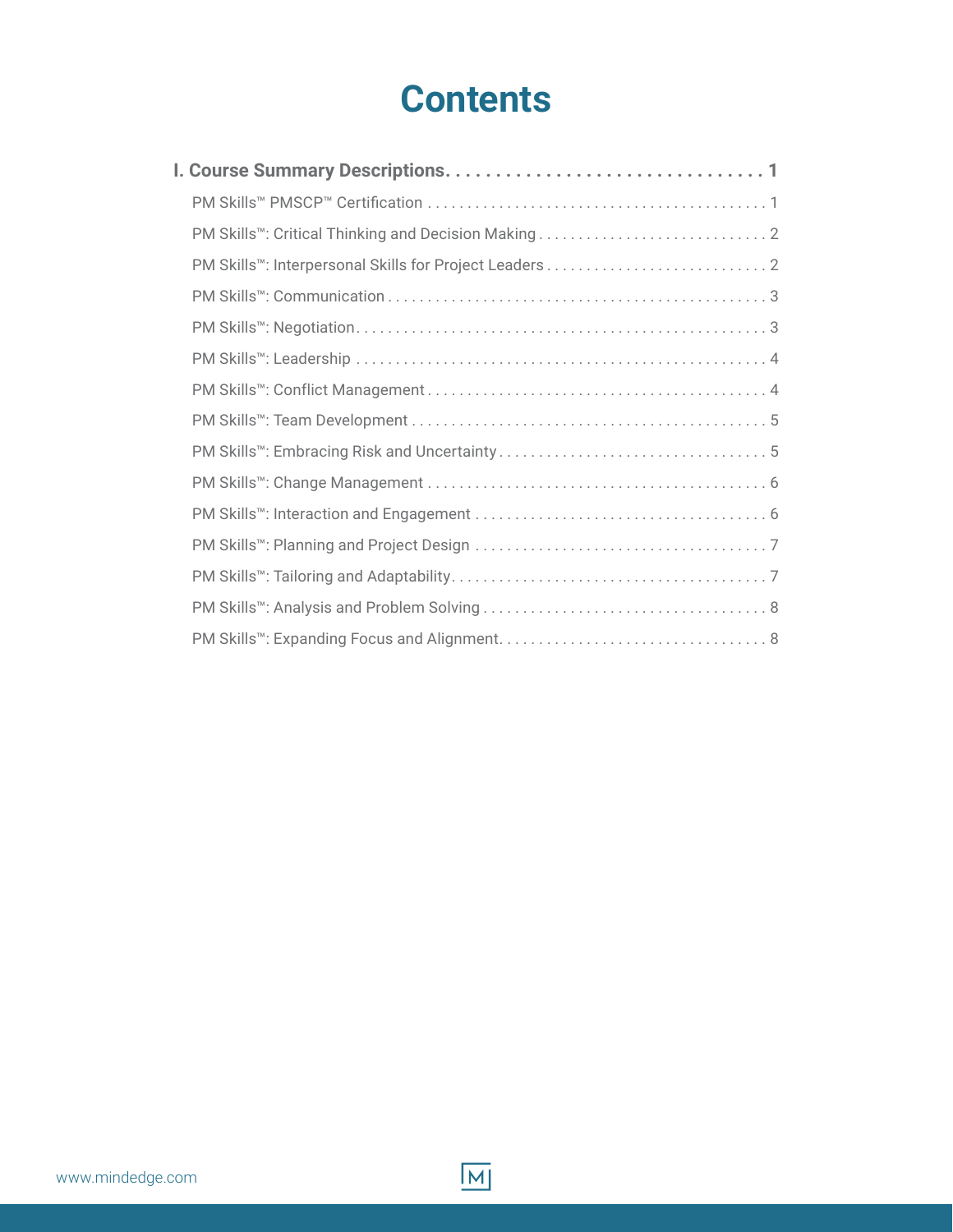### **Contents**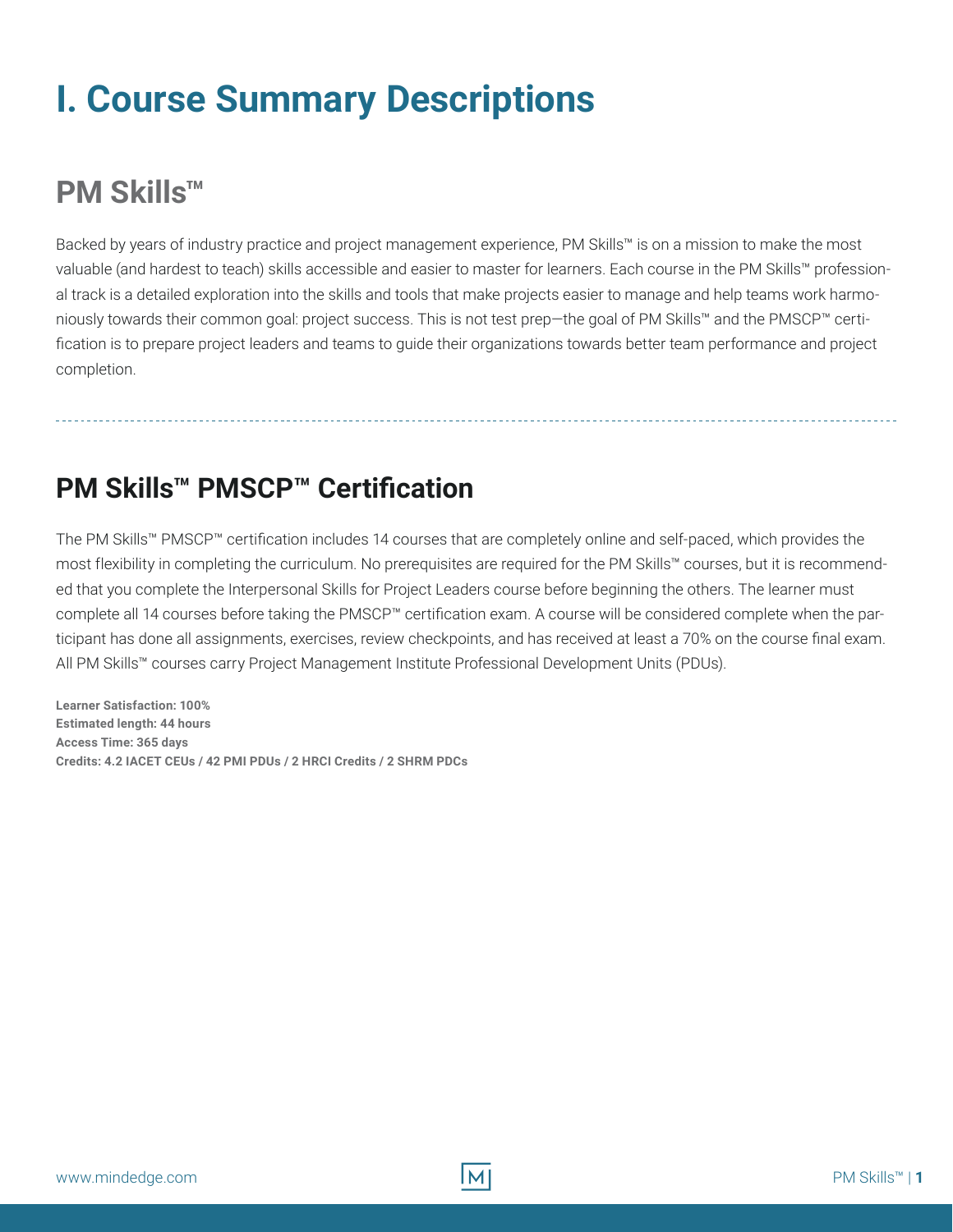## <span id="page-2-0"></span>**I. Course Summary Descriptions**

#### **PM Skills™**

Backed by years of industry practice and project management experience, PM Skills™ is on a mission to make the most valuable (and hardest to teach) skills accessible and easier to master for learners. Each course in the PM Skills™ professional track is a detailed exploration into the skills and tools that make projects easier to manage and help teams work harmoniously towards their common goal: project success. This is not test prep—the goal of PM Skills™ and the PMSCP™ certification is to prepare project leaders and teams to guide their organizations towards better team performance and project completion.

#### **PM Skills™ PMSCP™ Certification**

The PM Skills™ PMSCP™ certification includes 14 courses that are completely online and self-paced, which provides the most flexibility in completing the curriculum. No prerequisites are required for the PM Skills™ courses, but it is recommended that you complete the Interpersonal Skills for Project Leaders course before beginning the others. The learner must complete all 14 courses before taking the PMSCP™ certification exam. A course will be considered complete when the participant has done all assignments, exercises, review checkpoints, and has received at least a 70% on the course final exam. All PM Skills™ courses carry Project Management Institute Professional Development Units (PDUs).

**Learner Satisfaction: 100% Estimated length: 44 hours Access Time: 365 days Credits: 4.2 IACET CEUs / 42 PMI PDUs / 2 HRCI Credits / 2 SHRM PDCs**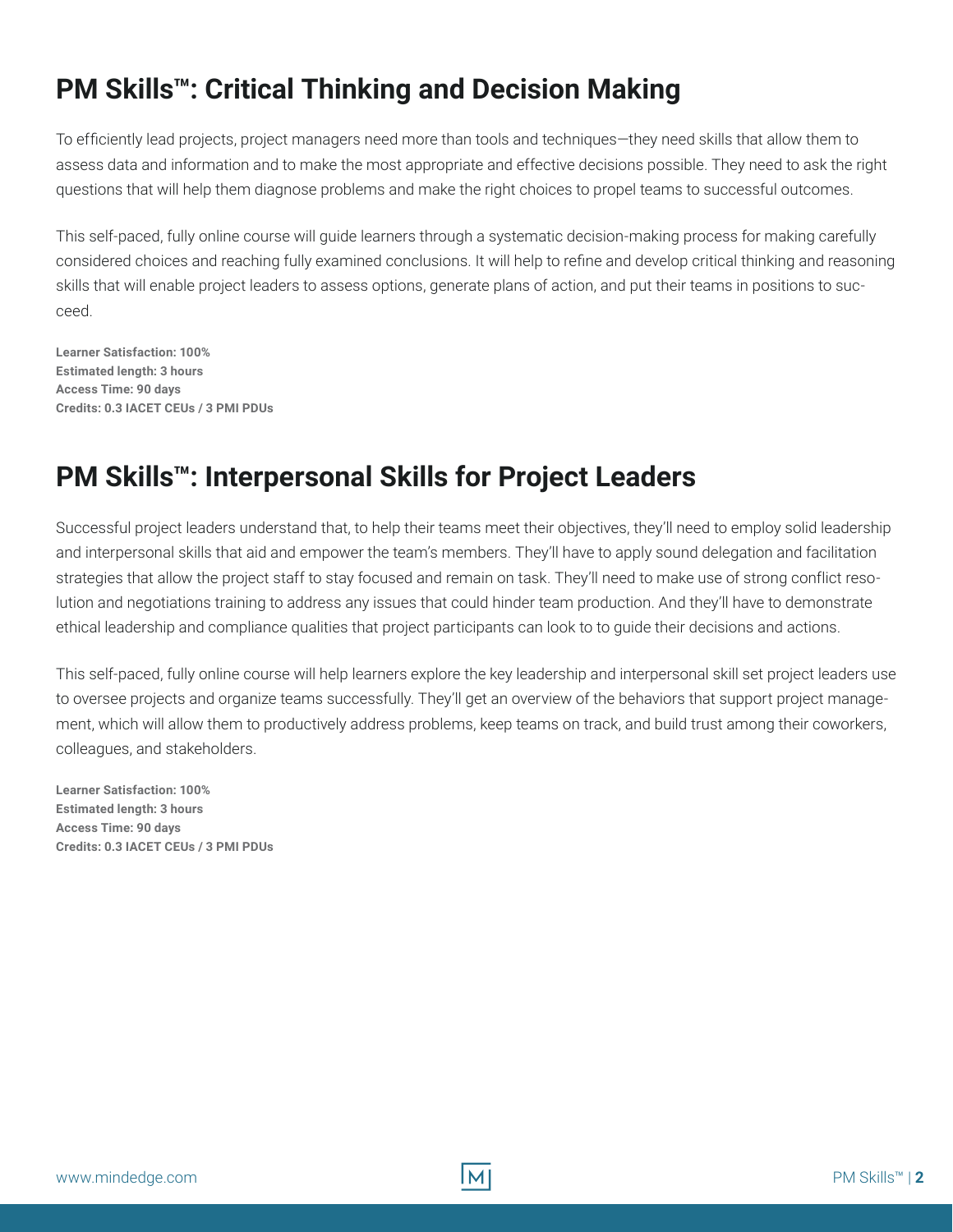#### <span id="page-3-0"></span>**PM Skills™: Critical Thinking and Decision Making**

To efficiently lead projects, project managers need more than tools and techniques—they need skills that allow them to assess data and information and to make the most appropriate and effective decisions possible. They need to ask the right questions that will help them diagnose problems and make the right choices to propel teams to successful outcomes.

This self-paced, fully online course will guide learners through a systematic decision-making process for making carefully considered choices and reaching fully examined conclusions. It will help to refine and develop critical thinking and reasoning skills that will enable project leaders to assess options, generate plans of action, and put their teams in positions to succeed.

**Learner Satisfaction: 100% Estimated length: 3 hours Access Time: 90 days Credits: 0.3 IACET CEUs / 3 PMI PDUs**

#### **PM Skills™: Interpersonal Skills for Project Leaders**

Successful project leaders understand that, to help their teams meet their objectives, they'll need to employ solid leadership and interpersonal skills that aid and empower the team's members. They'll have to apply sound delegation and facilitation strategies that allow the project staff to stay focused and remain on task. They'll need to make use of strong conflict resolution and negotiations training to address any issues that could hinder team production. And they'll have to demonstrate ethical leadership and compliance qualities that project participants can look to to guide their decisions and actions.

This self-paced, fully online course will help learners explore the key leadership and interpersonal skill set project leaders use to oversee projects and organize teams successfully. They'll get an overview of the behaviors that support project management, which will allow them to productively address problems, keep teams on track, and build trust among their coworkers, colleagues, and stakeholders.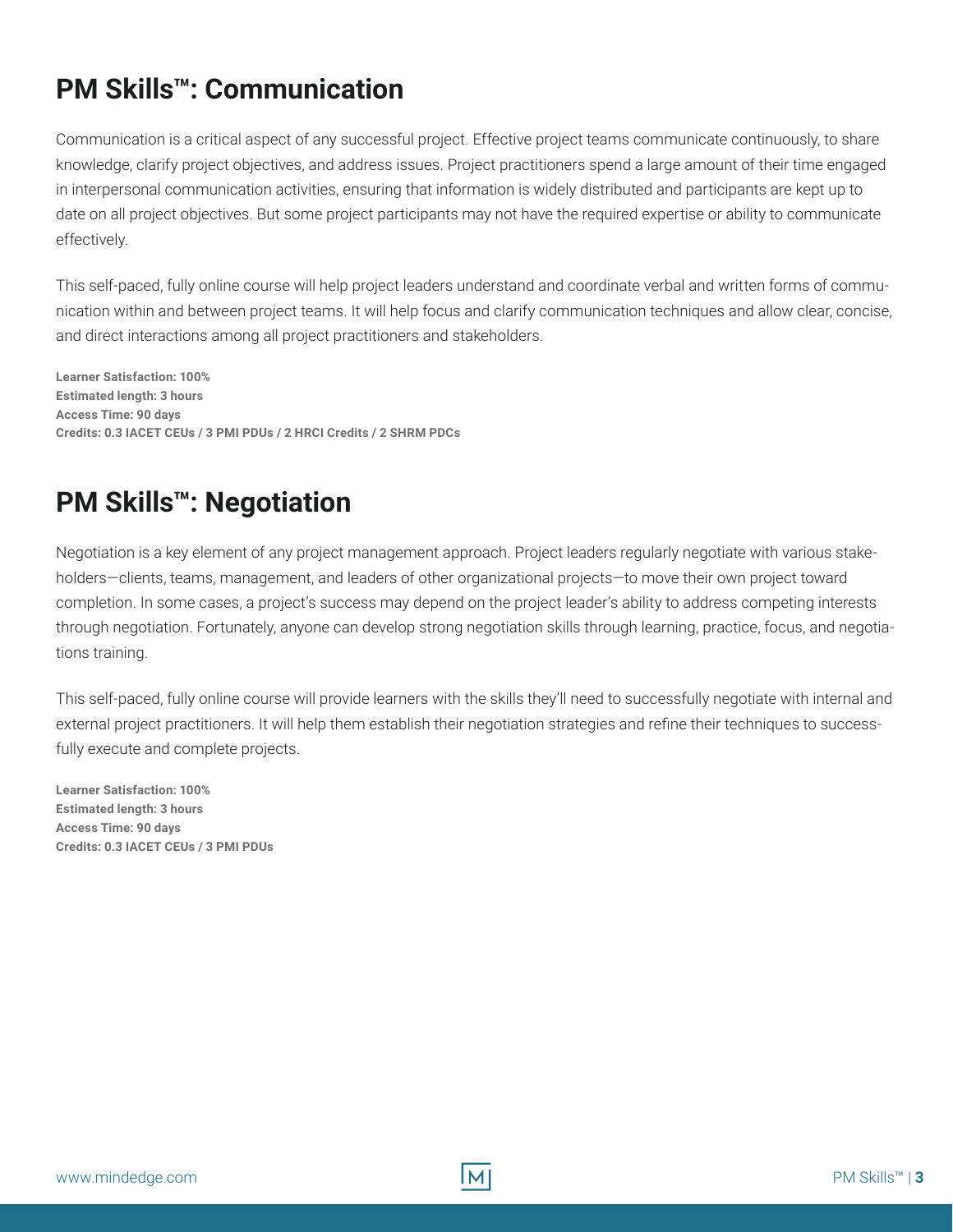#### <span id="page-4-0"></span>**PM Skills™: Communication**

Communication is a critical aspect of any successful project. Effective project teams communicate continuously, to share knowledge, clarify project objectives, and address issues. Project practitioners spend a large amount of their time engaged in interpersonal communication activities, ensuring that information is widely distributed and participants are kept up to date on all project objectives. But some project participants may not have the required expertise or ability to communicate effectively.

This self-paced, fully online course will help project leaders understand and coordinate verbal and written forms of communication within and between project teams. It will help focus and clarify communication techniques and allow clear, concise, and direct interactions among all project practitioners and stakeholders.

**Learner Satisfaction: 100% Estimated length: 3 hours Access Time: 90 days Credits: 0.3 IACET CEUs / 3 PMI PDUs / 2 HRCI Credits / 2 SHRM PDCs**

#### **PM Skills™: Negotiation**

Negotiation is a key element of any project management approach. Project leaders regularly negotiate with various stakeholders—clients, teams, management, and leaders of other organizational projects—to move their own project toward completion. In some cases, a project's success may depend on the project leader's ability to address competing interests through negotiation. Fortunately, anyone can develop strong negotiation skills through learning, practice, focus, and negotiations training.

This self-paced, fully online course will provide learners with the skills they'll need to successfully negotiate with internal and external project practitioners. It will help them establish their negotiation strategies and refine their techniques to successfully execute and complete projects.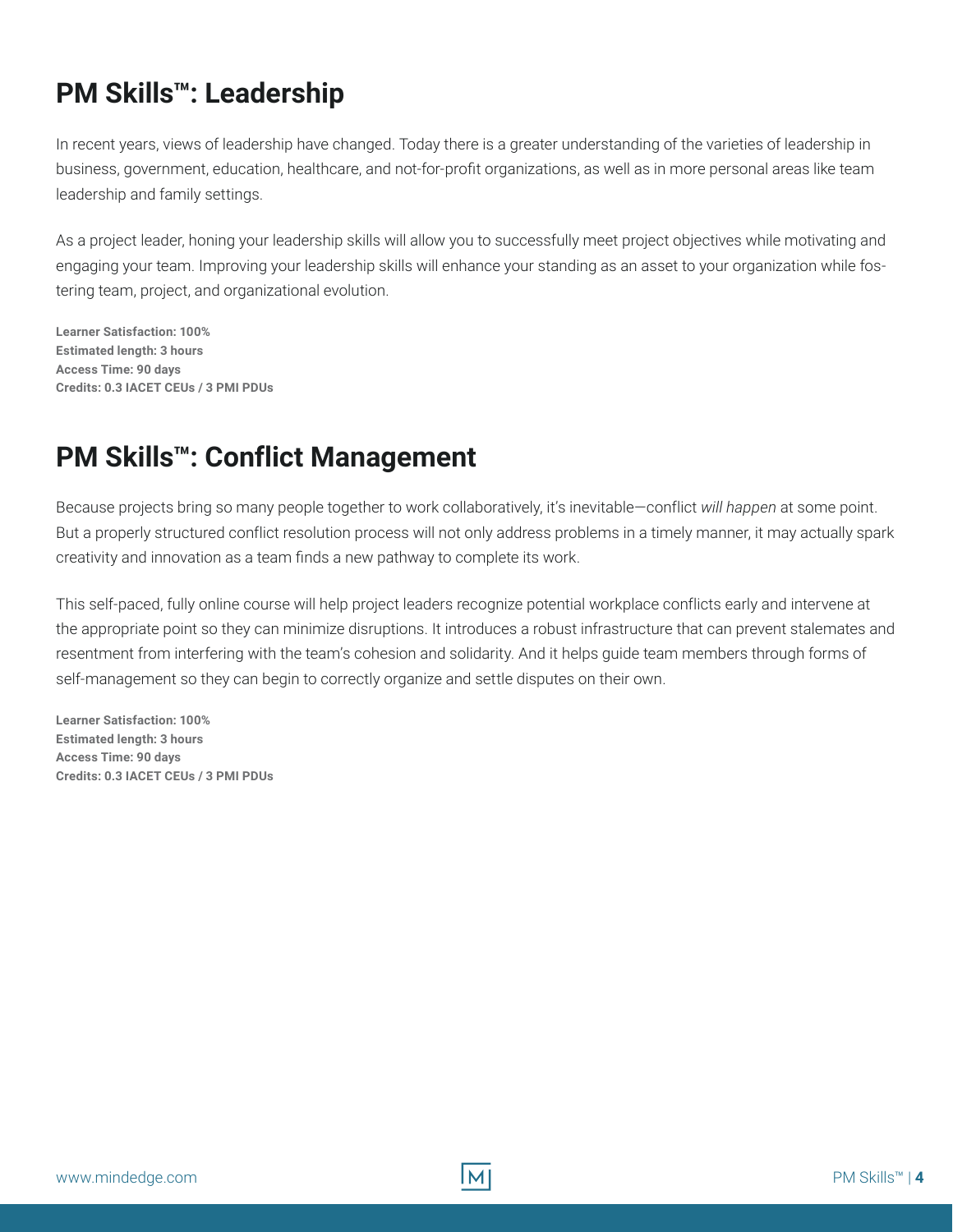#### <span id="page-5-0"></span>**PM Skills™: Leadership**

In recent years, views of leadership have changed. Today there is a greater understanding of the varieties of leadership in business, government, education, healthcare, and not-for-profit organizations, as well as in more personal areas like team leadership and family settings.

As a project leader, honing your leadership skills will allow you to successfully meet project objectives while motivating and engaging your team. Improving your leadership skills will enhance your standing as an asset to your organization while fostering team, project, and organizational evolution.

**Learner Satisfaction: 100% Estimated length: 3 hours Access Time: 90 days Credits: 0.3 IACET CEUs / 3 PMI PDUs**

#### **PM Skills™: Conflict Management**

Because projects bring so many people together to work collaboratively, it's inevitable—conflict *will happen* at some point. But a properly structured conflict resolution process will not only address problems in a timely manner, it may actually spark creativity and innovation as a team finds a new pathway to complete its work.

This self-paced, fully online course will help project leaders recognize potential workplace conflicts early and intervene at the appropriate point so they can minimize disruptions. It introduces a robust infrastructure that can prevent stalemates and resentment from interfering with the team's cohesion and solidarity. And it helps guide team members through forms of self-management so they can begin to correctly organize and settle disputes on their own.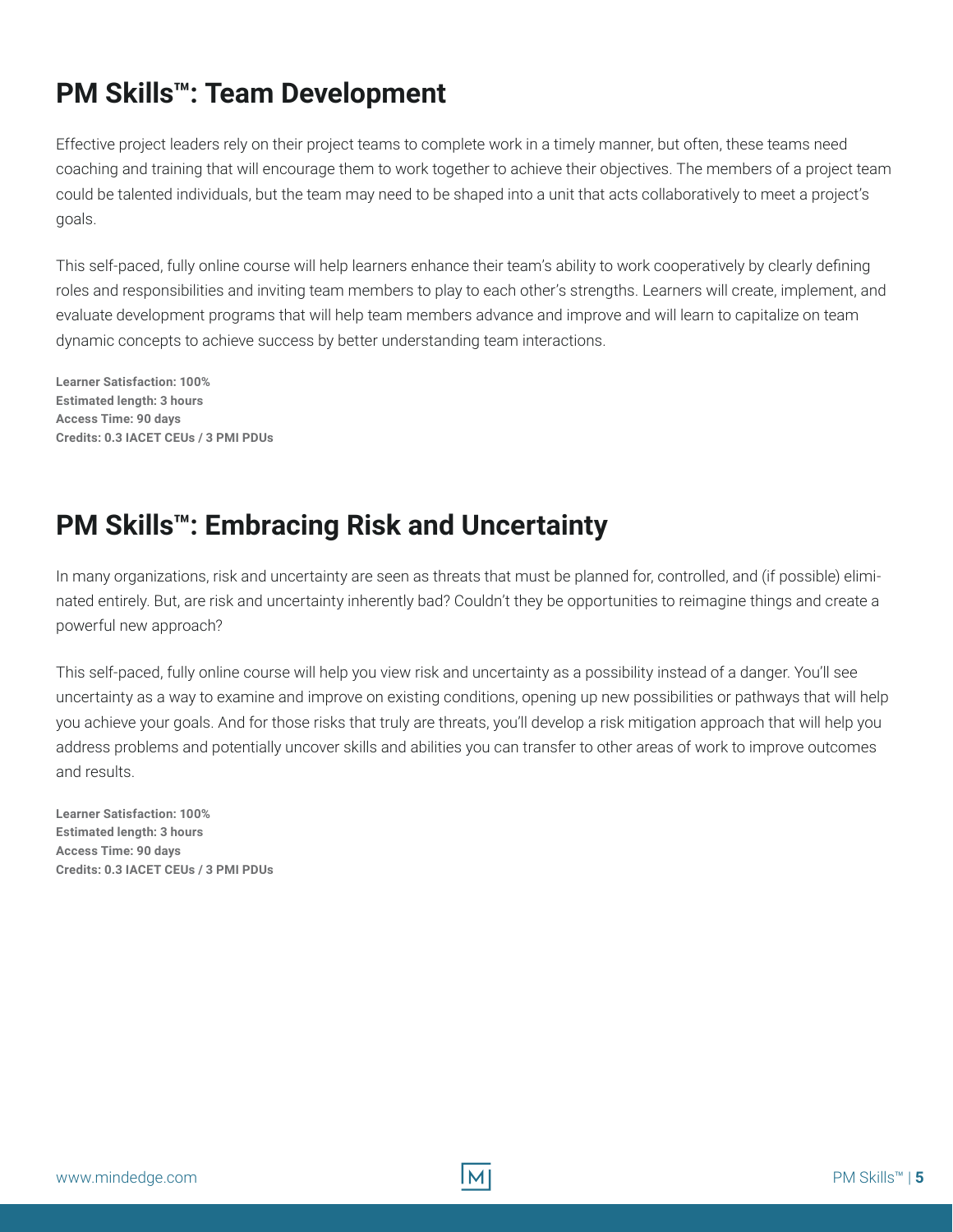#### <span id="page-6-0"></span>**PM Skills™: Team Development**

Effective project leaders rely on their project teams to complete work in a timely manner, but often, these teams need coaching and training that will encourage them to work together to achieve their objectives. The members of a project team could be talented individuals, but the team may need to be shaped into a unit that acts collaboratively to meet a project's goals.

This self-paced, fully online course will help learners enhance their team's ability to work cooperatively by clearly defining roles and responsibilities and inviting team members to play to each other's strengths. Learners will create, implement, and evaluate development programs that will help team members advance and improve and will learn to capitalize on team dynamic concepts to achieve success by better understanding team interactions.

**Learner Satisfaction: 100% Estimated length: 3 hours Access Time: 90 days Credits: 0.3 IACET CEUs / 3 PMI PDUs**

#### **PM Skills™: Embracing Risk and Uncertainty**

In many organizations, risk and uncertainty are seen as threats that must be planned for, controlled, and (if possible) eliminated entirely. But, are risk and uncertainty inherently bad? Couldn't they be opportunities to reimagine things and create a powerful new approach?

This self-paced, fully online course will help you view risk and uncertainty as a possibility instead of a danger. You'll see uncertainty as a way to examine and improve on existing conditions, opening up new possibilities or pathways that will help you achieve your goals. And for those risks that truly are threats, you'll develop a risk mitigation approach that will help you address problems and potentially uncover skills and abilities you can transfer to other areas of work to improve outcomes and results.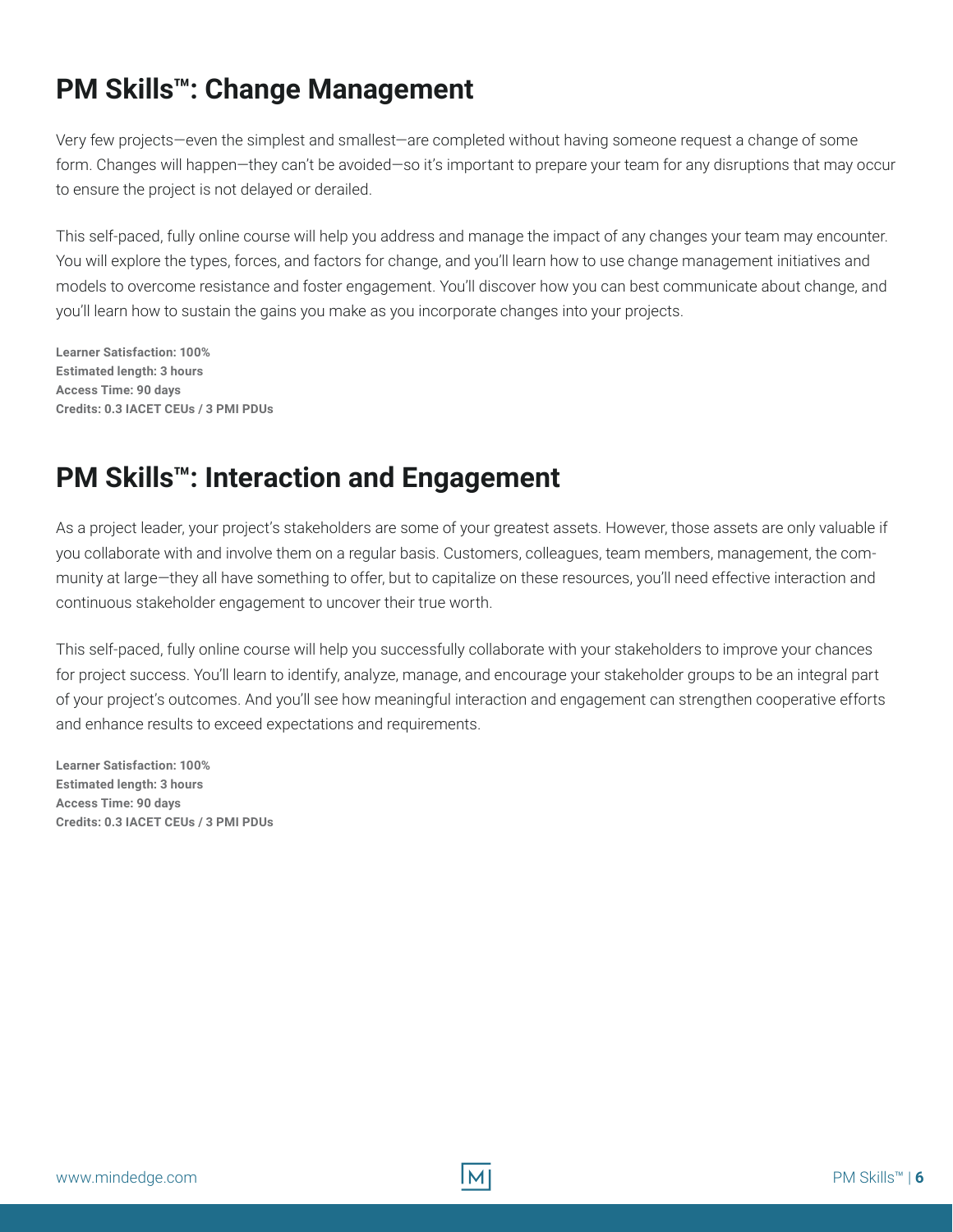#### <span id="page-7-0"></span>**PM Skills™: Change Management**

Very few projects—even the simplest and smallest—are completed without having someone request a change of some form. Changes will happen—they can't be avoided—so it's important to prepare your team for any disruptions that may occur to ensure the project is not delayed or derailed.

This self-paced, fully online course will help you address and manage the impact of any changes your team may encounter. You will explore the types, forces, and factors for change, and you'll learn how to use change management initiatives and models to overcome resistance and foster engagement. You'll discover how you can best communicate about change, and you'll learn how to sustain the gains you make as you incorporate changes into your projects.

**Learner Satisfaction: 100% Estimated length: 3 hours Access Time: 90 days Credits: 0.3 IACET CEUs / 3 PMI PDUs**

#### **PM Skills™: Interaction and Engagement**

As a project leader, your project's stakeholders are some of your greatest assets. However, those assets are only valuable if you collaborate with and involve them on a regular basis. Customers, colleagues, team members, management, the community at large—they all have something to offer, but to capitalize on these resources, you'll need effective interaction and continuous stakeholder engagement to uncover their true worth.

This self-paced, fully online course will help you successfully collaborate with your stakeholders to improve your chances for project success. You'll learn to identify, analyze, manage, and encourage your stakeholder groups to be an integral part of your project's outcomes. And you'll see how meaningful interaction and engagement can strengthen cooperative efforts and enhance results to exceed expectations and requirements.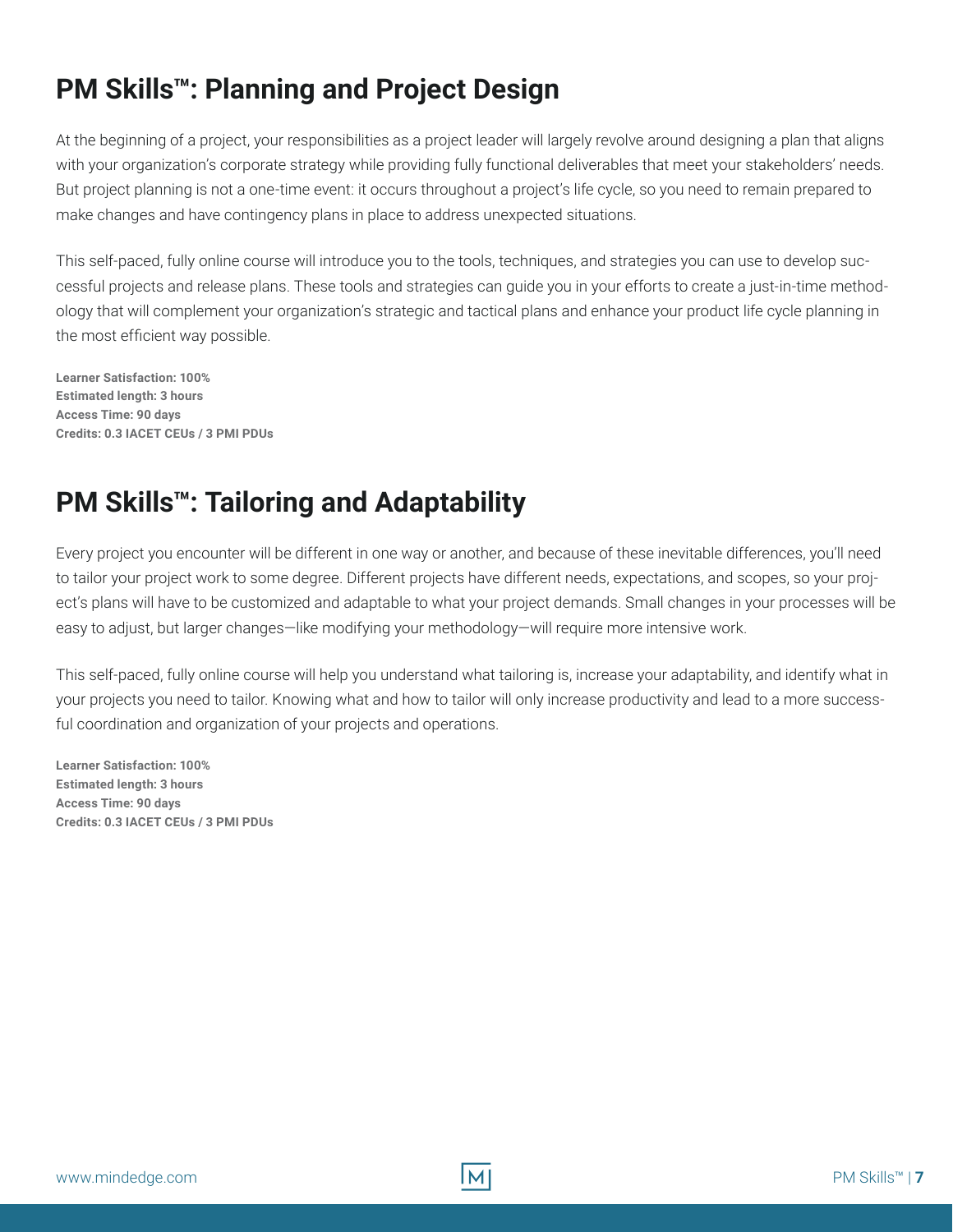#### <span id="page-8-0"></span>**PM Skills™: Planning and Project Design**

At the beginning of a project, your responsibilities as a project leader will largely revolve around designing a plan that aligns with your organization's corporate strategy while providing fully functional deliverables that meet your stakeholders' needs. But project planning is not a one-time event: it occurs throughout a project's life cycle, so you need to remain prepared to make changes and have contingency plans in place to address unexpected situations.

This self-paced, fully online course will introduce you to the tools, techniques, and strategies you can use to develop successful projects and release plans. These tools and strategies can guide you in your efforts to create a just-in-time methodology that will complement your organization's strategic and tactical plans and enhance your product life cycle planning in the most efficient way possible.

**Learner Satisfaction: 100% Estimated length: 3 hours Access Time: 90 days Credits: 0.3 IACET CEUs / 3 PMI PDUs**

#### **PM Skills™: Tailoring and Adaptability**

Every project you encounter will be different in one way or another, and because of these inevitable differences, you'll need to tailor your project work to some degree. Different projects have different needs, expectations, and scopes, so your project's plans will have to be customized and adaptable to what your project demands. Small changes in your processes will be easy to adjust, but larger changes—like modifying your methodology—will require more intensive work.

This self-paced, fully online course will help you understand what tailoring is, increase your adaptability, and identify what in your projects you need to tailor. Knowing what and how to tailor will only increase productivity and lead to a more successful coordination and organization of your projects and operations.